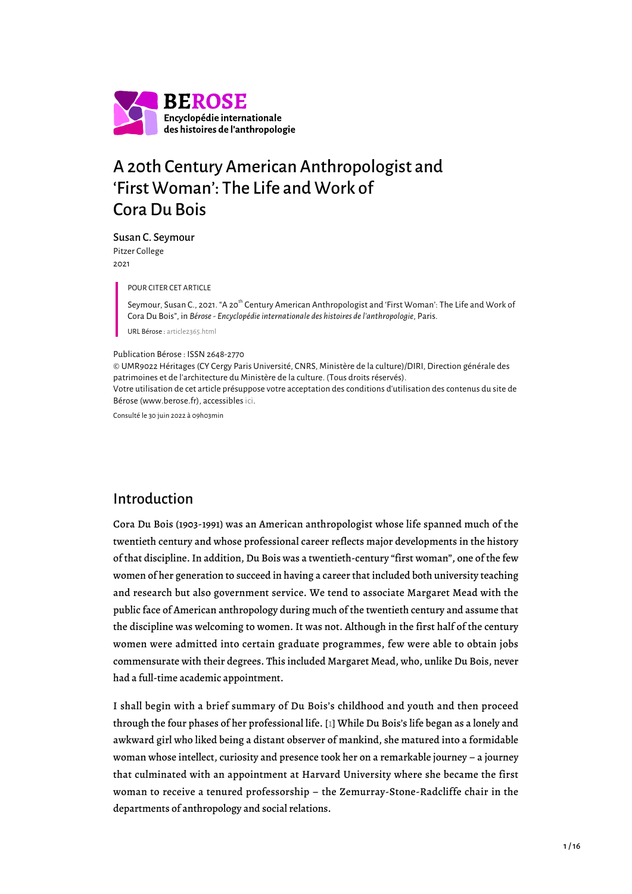

# A 20th Century American Anthropologist and 'First Woman': The Life and Work of Cora Du Bois

Susan C. Seymour Pitzer College

2021

POUR CITER CET ARTICLE

Seymour, Susan C., 2021. "A 20<sup>th</sup> Century American Anthropologist and 'First Woman': The Life and Work of Cora Du Bois", in *Bérose - Encyclopédie internationale des histoires de l'anthropologie*, Paris.

URL Bérose : [article2365.html](https://www.berose.fr/article2365.html)

#### Publication Bérose : ISSN 2648-2770

© UMR9022 Héritages (CY Cergy Paris Université, CNRS, Ministère de la culture)/DIRI, Direction générale des patrimoines et de l'architecture du Ministère de la culture. (Tous droits réservés). Votre utilisation de cet article présuppose votre acceptation des conditions d'utilisation des contenus du site de Bérose (www.berose.fr), accessibles [ici.](http://www.berose.fr/?Credits-Copyright)

Consulté le 30 juin 2022 à 09h03min

### Introduction

Cora Du Bois (1903-1991) was an American anthropologist whose life spanned much of the twentieth century and whose professional career reflects major developments in the history of that discipline. In addition, Du Bois was a twentieth-century "first woman", one of the few women of her generation to succeed in having a career that included both university teaching and research but also government service. We tend to associate Margaret Mead with the public face of American anthropology during much of the twentieth century and assume that the discipline was welcoming to women. It was not. Although in the first half of the century women were admitted into certain graduate programmes, few were able to obtain jobs commensurate with their degrees. This included Margaret Mead, who, unlike Du Bois, never had a full-time academic appointment.

<span id="page-0-0"></span>I shall begin with a brief summary of Du Bois's childhood and youth and then proceed through the four phases of her professional life. [\[1\]](#page-13-0) While Du Bois's life began as a lonely and awkward girl who liked being a distant observer of mankind, she matured into a formidable woman whose intellect, curiosity and presence took her on a remarkable journey – a journey that culminated with an appointment at Harvard University where she became the first woman to receive a tenured professorship – the Zemurray-Stone-Radcliffe chair in the departments of anthropology and social relations.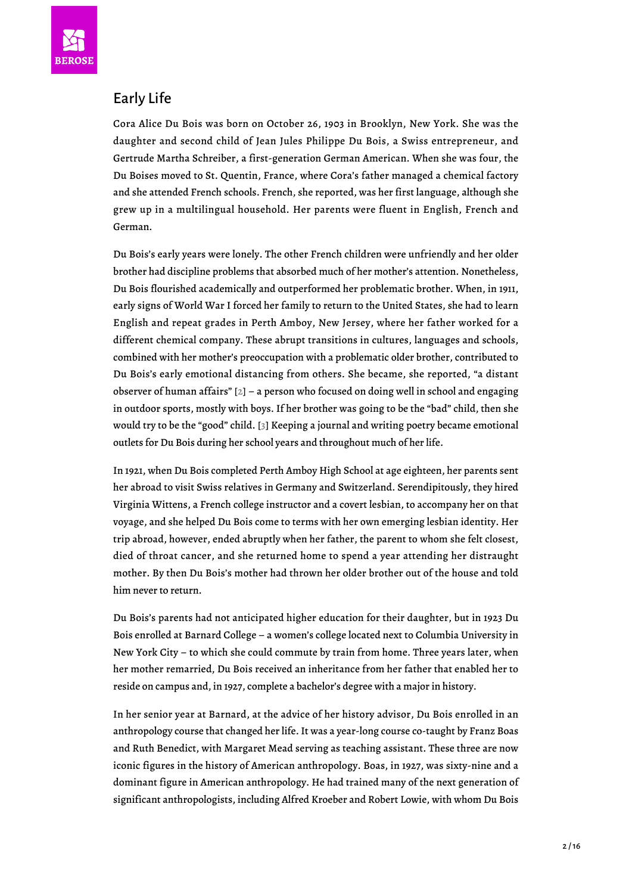

# Early Life

Cora Alice Du Bois was born on October 26, 1903 in Brooklyn, New York. She was the daughter and second child of Jean Jules Philippe Du Bois, a Swiss entrepreneur, and Gertrude Martha Schreiber, a first-generation German American. When she was four, the Du Boises moved to St. Quentin, France, where Cora's father managed a chemical factory and she attended French schools. French, she reported, was her first language, although she grew up in a multilingual household. Her parents were fluent in English, French and German.

Du Bois's early years were lonely. The other French children were unfriendly and her older brother had discipline problems that absorbed much of her mother's attention. Nonetheless, Du Bois flourished academically and outperformed her problematic brother. When, in 1911, early signs of World War I forced her family to return to the United States, she had to learn English and repeat grades in Perth Amboy, New Jersey, where her father worked for a different chemical company. These abrupt transitions in cultures, languages and schools, combined with her mother's preoccupation with a problematic older brother, contributed to Du Bois's early emotional distancing from others. She became, she reported, "a distant observer of human affairs" [[2\]](#page-13-1) – a person who focused on doing well in school and engaging in outdoor sports, mostly with boys. If her brother was going to be the "bad" child, then she would try to be the "good" child. [[3](#page-13-2)] Keeping a journal and writing poetry became emotional outlets for Du Bois during her school years and throughout much of her life.

<span id="page-1-1"></span><span id="page-1-0"></span>In 1921, when Du Bois completed Perth Amboy High School at age eighteen, her parents sent her abroad to visit Swiss relatives in Germany and Switzerland. Serendipitously, they hired Virginia Wittens, a French college instructor and a covert lesbian, to accompany her on that voyage, and she helped Du Bois come to terms with her own emerging lesbian identity. Her trip abroad, however, ended abruptly when her father, the parent to whom she felt closest, died of throat cancer, and she returned home to spend a year attending her distraught mother. By then Du Bois's mother had thrown her older brother out of the house and told him never to return.

Du Bois's parents had not anticipated higher education for their daughter, but in 1923 Du Bois enrolled at Barnard College – a women's college located next to Columbia University in New York City – to which she could commute by train from home. Three years later, when her mother remarried, Du Bois received an inheritance from her father that enabled her to reside on campus and, in 1927, complete a bachelor's degree with a major in history.

In her senior year at Barnard, at the advice of her history advisor, Du Bois enrolled in an anthropology course that changed her life. It was a year-long course co-taught by Franz Boas and Ruth Benedict, with Margaret Mead serving as teaching assistant. These three are now iconic figures in the history of American anthropology. Boas, in 1927, was sixty-nine and a dominant figure in American anthropology. He had trained many of the next generation of significant anthropologists, including Alfred Kroeber and Robert Lowie, with whom Du Bois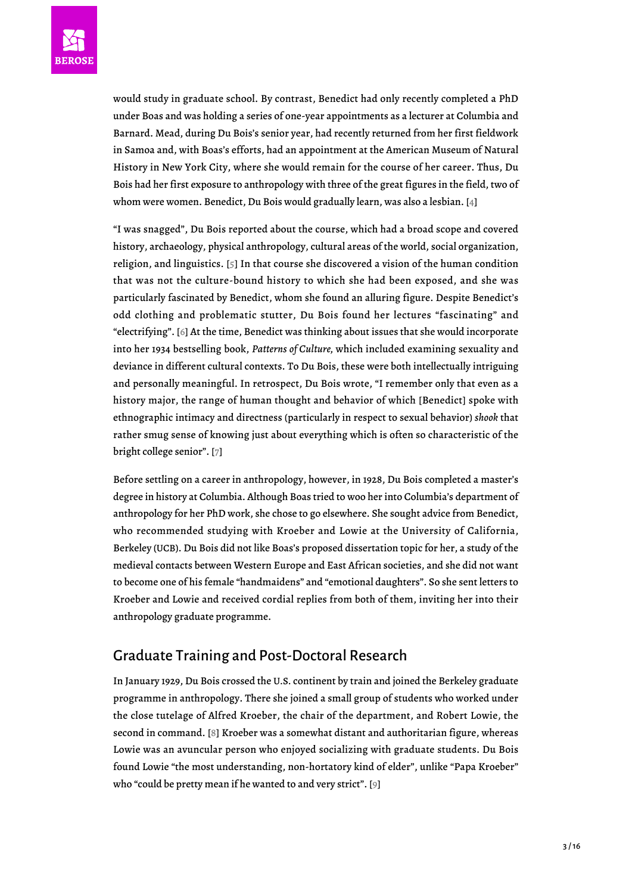

would study in graduate school. By contrast, Benedict had only recently completed a PhD under Boas and was holding a series of one-year appointments as a lecturer at Columbia and Barnard. Mead, during Du Bois's senior year, had recently returned from her first fieldwork in Samoa and, with Boas's efforts, had an appointment at the American Museum of Natural History in New York City, where she would remain for the course of her career. Thus, Du Bois had her first exposure to anthropology with three of the great figures in the field, two of whom were women. Benedict, Du Bois would gradually learn, was also a lesbian. [\[4\]](#page-13-3)

<span id="page-2-2"></span><span id="page-2-1"></span><span id="page-2-0"></span>"I was snagged", Du Bois reported about the course, which had a broad scope and covered history, archaeology, physical anthropology, cultural areas of the world, social organization, religion, and linguistics. [[5](#page-13-4)] In that course she discovered a vision of the human condition that was not the culture-bound history to which she had been exposed, and she was particularly fascinated by Benedict, whom she found an alluring figure. Despite Benedict's odd clothing and problematic stutter, Du Bois found her lectures "fascinating" and "electrifying". [[6](#page-13-5)] At the time, Benedict was thinking about issues that she would incorporate into her 1934 bestselling book, *Patterns of Culture,* which included examining sexuality and deviance in different cultural contexts. To Du Bois, these were both intellectually intriguing and personally meaningful. In retrospect, Du Bois wrote, "I remember only that even as a history major, the range of human thought and behavior of which [Benedict] spoke with ethnographic intimacy and directness (particularly in respect to sexual behavior) *shook* that rather smug sense of knowing just about everything which is often so characteristic of the bright college senior". [\[7\]](#page-13-6)

<span id="page-2-3"></span>Before settling on a career in anthropology, however, in 1928, Du Bois completed a master's degree in history at Columbia. Although Boas tried to woo her into Columbia's department of anthropology for her PhD work, she chose to go elsewhere. She sought advice from Benedict, who recommended studying with Kroeber and Lowie at the University of California, Berkeley (UCB). Du Bois did not like Boas's proposed dissertation topic for her, a study of the medieval contacts between Western Europe and East African societies, and she did not want to become one of his female "handmaidens" and "emotional daughters". So she sent letters to Kroeber and Lowie and received cordial replies from both of them, inviting her into their anthropology graduate programme.

# Graduate Training and Post-Doctoral Research

<span id="page-2-5"></span><span id="page-2-4"></span>In January 1929, Du Bois crossed the U.S. continent by train and joined the Berkeley graduate programme in anthropology. There she joined a small group of students who worked under the close tutelage of Alfred Kroeber, the chair of the department, and Robert Lowie, the second in command. [[8\]](#page-13-7) Kroeber was a somewhat distant and authoritarian figure, whereas Lowie was an avuncular person who enjoyed socializing with graduate students. Du Bois found Lowie "the most understanding, non-hortatory kind of elder", unlike "Papa Kroeber" who "could be pretty mean if he wanted to and very strict". [\[9\]](#page-13-8)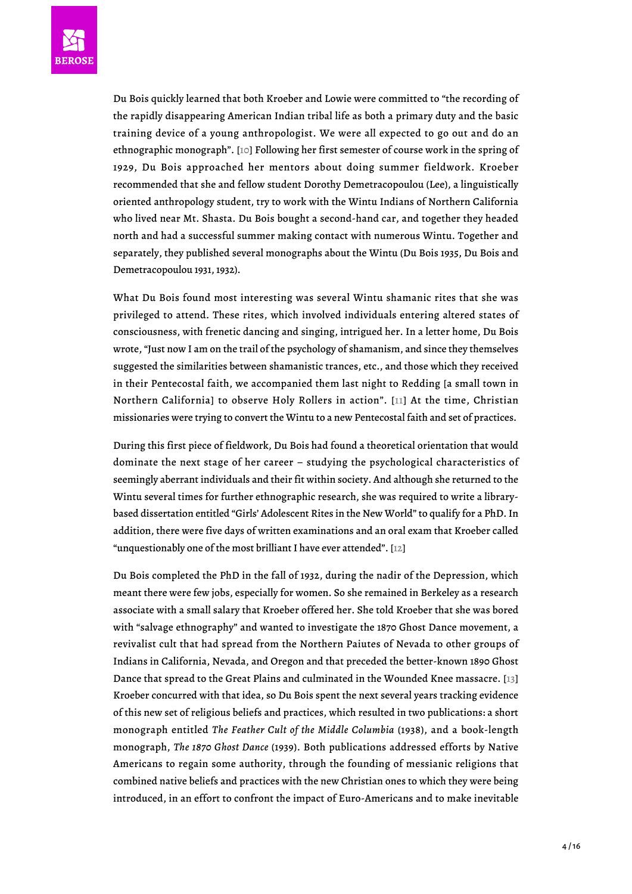

<span id="page-3-0"></span>Du Bois quickly learned that both Kroeber and Lowie were committed to "the recording of the rapidly disappearing American Indian tribal life as both a primary duty and the basic training device of a young anthropologist. We were all expected to go out and do an ethnographic monograph". [\[10\]](#page-13-9) Following her first semester of course work in the spring of 1929, Du Bois approached her mentors about doing summer fieldwork. Kroeber recommended that she and fellow student Dorothy Demetracopoulou (Lee), a linguistically oriented anthropology student, try to work with the Wintu Indians of Northern California who lived near Mt. Shasta. Du Bois bought a second-hand car, and together they headed north and had a successful summer making contact with numerous Wintu. Together and separately, they published several monographs about the Wintu (Du Bois 1935, Du Bois and Demetracopoulou 1931, 1932).

What Du Bois found most interesting was several Wintu shamanic rites that she was privileged to attend. These rites, which involved individuals entering altered states of consciousness, with frenetic dancing and singing, intrigued her. In a letter home, Du Bois wrote, "Just now I am on the trail of the psychology of shamanism, and since they themselves suggested the similarities between shamanistic trances, etc., and those which they received in their Pentecostal faith, we accompanied them last night to Redding [a small town in Northern California] to observe Holy Rollers in action". [[11](#page-13-10)] At the time, Christian missionaries were trying to convert the Wintu to a new Pentecostal faith and set of practices.

<span id="page-3-1"></span>During this first piece of fieldwork, Du Bois had found a theoretical orientation that would dominate the next stage of her career – studying the psychological characteristics of seemingly aberrant individuals and their fit within society. And although she returned to the Wintu several times for further ethnographic research, she was required to write a librarybased dissertation entitled "Girls' Adolescent Rites in the New World" to qualify for a PhD. In addition, there were five days of written examinations and an oral exam that Kroeber called "unquestionably one of the most brilliant I have ever attended". [[12](#page-13-11)]

<span id="page-3-3"></span><span id="page-3-2"></span>Du Bois completed the PhD in the fall of 1932, during the nadir of the Depression, which meant there were few jobs, especially for women. So she remained in Berkeley as a research associate with a small salary that Kroeber offered her. She told Kroeber that she was bored with "salvage ethnography" and wanted to investigate the 1870 Ghost Dance movement, a revivalist cult that had spread from the Northern Paiutes of Nevada to other groups of Indians in California, Nevada, and Oregon and that preceded the better-known 1890 Ghost Dance that spread to the Great Plains and culminated in the Wounded Knee massacre. [\[13](#page-13-12)] Kroeber concurred with that idea, so Du Bois spent the next several years tracking evidence of this new set of religious beliefs and practices, which resulted in two publications: a short monograph entitled *The Feather Cult of the Middle Columbia* (1938), and a book-length monograph, *The 1870 Ghost Dance* (1939). Both publications addressed efforts by Native Americans to regain some authority, through the founding of messianic religions that combined native beliefs and practices with the new Christian ones to which they were being introduced, in an effort to confront the impact of Euro-Americans and to make inevitable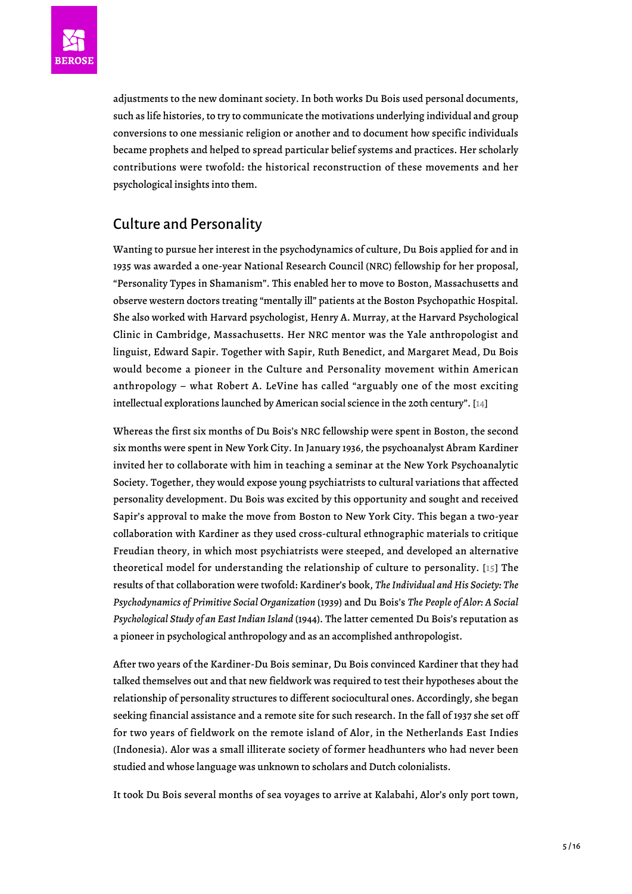

adjustments to the new dominant society. In both works Du Bois used personal documents, such as life histories, to try to communicate the motivations underlying individual and group conversions to one messianic religion or another and to document how specific individuals became prophets and helped to spread particular belief systems and practices. Her scholarly contributions were twofold: the historical reconstruction of these movements and her psychological insights into them.

# Culture and Personality

Wanting to pursue her interest in the psychodynamics of culture, Du Bois applied for and in 1935 was awarded a one-year National Research Council (NRC) fellowship for her proposal, "Personality Types in Shamanism". This enabled her to move to Boston, Massachusetts and observe western doctors treating "mentally ill" patients at the Boston Psychopathic Hospital. She also worked with Harvard psychologist, Henry A. Murray, at the Harvard Psychological Clinic in Cambridge, Massachusetts. Her NRC mentor was the Yale anthropologist and linguist, Edward Sapir. Together with Sapir, Ruth Benedict, and Margaret Mead, Du Bois would become a pioneer in the Culture and Personality movement within American anthropology – what Robert A. LeVine has called "arguably one of the most exciting intellectual explorations launched by American social science in the 20th century". [[14\]](#page-14-0)

<span id="page-4-0"></span>Whereas the first six months of Du Bois's NRC fellowship were spent in Boston, the second six months were spent in New York City. In January 1936, the psychoanalyst Abram Kardiner invited her to collaborate with him in teaching a seminar at the New York Psychoanalytic Society. Together, they would expose young psychiatrists to cultural variations that affected personality development. Du Bois was excited by this opportunity and sought and received Sapir's approval to make the move from Boston to New York City. This began a two-year collaboration with Kardiner as they used cross-cultural ethnographic materials to critique Freudian theory, in which most psychiatrists were steeped, and developed an alternative theoretical model for understanding the relationship of culture to personality. [[15](#page-14-1)] The results of that collaboration were twofold: Kardiner's book, *The Individual and His Society: The Psychodynamics of Primitive Social Organization* (1939) and Du Bois's *The People of Alor: A Social Psychological Study of an East Indian Island* (1944). The latter cemented Du Bois's reputation as a pioneer in psychological anthropology and as an accomplished anthropologist.

<span id="page-4-1"></span>After two years of the Kardiner-Du Bois seminar, Du Bois convinced Kardiner that they had talked themselves out and that new fieldwork was required to test their hypotheses about the relationship of personality structures to different sociocultural ones. Accordingly, she began seeking financial assistance and a remote site for such research. In the fall of 1937 she set off for two years of fieldwork on the remote island of Alor, in the Netherlands East Indies (Indonesia). Alor was a small illiterate society of former headhunters who had never been studied and whose language was unknown to scholars and Dutch colonialists.

It took Du Bois several months of sea voyages to arrive at Kalabahi, Alor's only port town,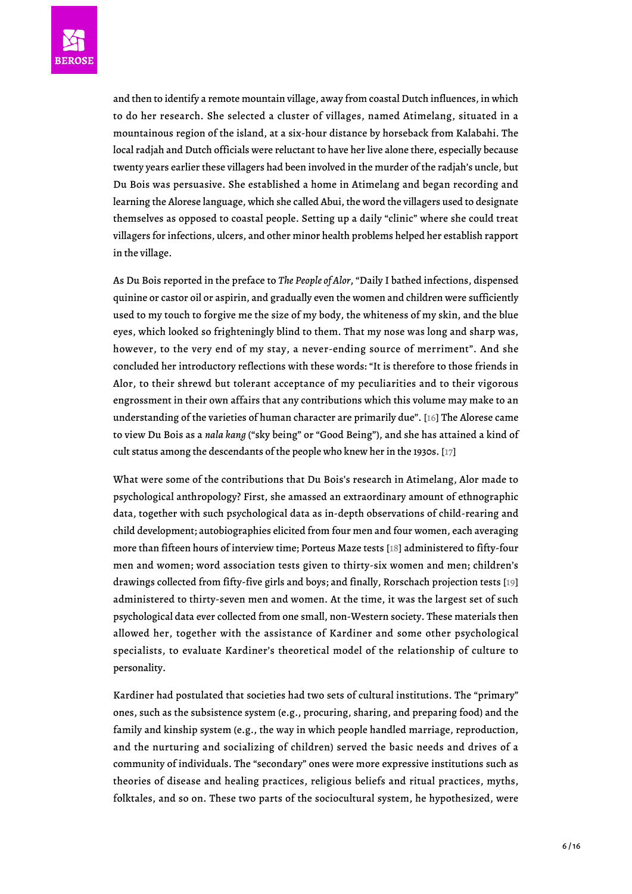

and then to identify a remote mountain village, away from coastal Dutch influences, in which to do her research. She selected a cluster of villages, named Atimelang, situated in a mountainous region of the island, at a six-hour distance by horseback from Kalabahi. The local radjah and Dutch officials were reluctant to have her live alone there, especially because twenty years earlier these villagers had been involved in the murder of the radjah's uncle, but Du Bois was persuasive. She established a home in Atimelang and began recording and learning the Alorese language, which she called Abui, the word the villagers used to designate themselves as opposed to coastal people. Setting up a daily "clinic" where she could treat villagers for infections, ulcers, and other minor health problems helped her establish rapport in the village.

As Du Bois reported in the preface to *The People of Alor*, "Daily I bathed infections, dispensed quinine or castor oil or aspirin, and gradually even the women and children were sufficiently used to my touch to forgive me the size of my body, the whiteness of my skin, and the blue eyes, which looked so frighteningly blind to them. That my nose was long and sharp was, however, to the very end of my stay, a never-ending source of merriment". And she concluded her introductory reflections with these words: "It is therefore to those friends in Alor, to their shrewd but tolerant acceptance of my peculiarities and to their vigorous engrossment in their own affairs that any contributions which this volume may make to an understanding of the varieties of human character are primarily due". [\[16\]](#page-14-2) The Alorese came to view Du Bois as a *nala kang* ("sky being" or "Good Being"), and she has attained a kind of cult status among the descendants of the people who knew her in the 1930s. [\[17\]](#page-14-3)

<span id="page-5-3"></span><span id="page-5-2"></span><span id="page-5-1"></span><span id="page-5-0"></span>What were some of the contributions that Du Bois's research in Atimelang, Alor made to psychological anthropology? First, she amassed an extraordinary amount of ethnographic data, together with such psychological data as in-depth observations of child-rearing and child development; autobiographies elicited from four men and four women, each averaging more than fifteen hours of interview time; Porteus Maze tests [\[18\]](#page-14-4) administered to fifty-four men and women; word association tests given to thirty-six women and men; children's drawings collected from fifty-five girls and boys; and finally, Rorschach projection tests [\[19](#page-14-5)] administered to thirty-seven men and women. At the time, it was the largest set of such psychological data ever collected from one small, non-Western society. These materials then allowed her, together with the assistance of Kardiner and some other psychological specialists, to evaluate Kardiner's theoretical model of the relationship of culture to personality.

Kardiner had postulated that societies had two sets of cultural institutions. The "primary" ones, such as the subsistence system (e.g., procuring, sharing, and preparing food) and the family and kinship system (e.g., the way in which people handled marriage, reproduction, and the nurturing and socializing of children) served the basic needs and drives of a community of individuals. The "secondary" ones were more expressive institutions such as theories of disease and healing practices, religious beliefs and ritual practices, myths, folktales, and so on. These two parts of the sociocultural system, he hypothesized, were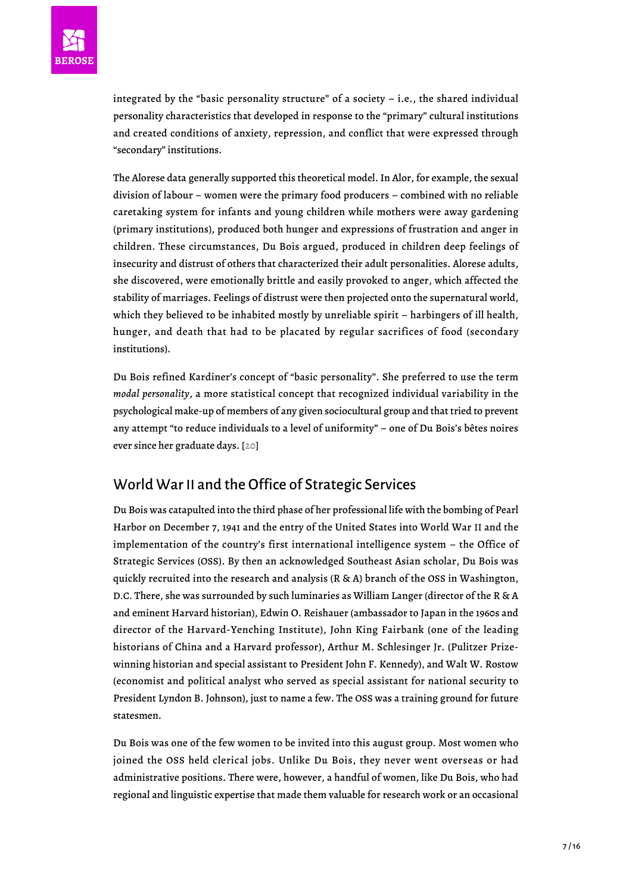integrated by the "basic personality structure" of a society – i.e., the shared individual personality characteristics that developed in response to the "primary" cultural institutions and created conditions of anxiety, repression, and conflict that were expressed through "secondary" institutions.

The Alorese data generally supported this theoretical model. In Alor, for example, the sexual division of labour – women were the primary food producers – combined with no reliable caretaking system for infants and young children while mothers were away gardening (primary institutions), produced both hunger and expressions of frustration and anger in children. These circumstances, Du Bois argued, produced in children deep feelings of insecurity and distrust of others that characterized their adult personalities. Alorese adults, she discovered, were emotionally brittle and easily provoked to anger, which affected the stability of marriages. Feelings of distrust were then projected onto the supernatural world, which they believed to be inhabited mostly by unreliable spirit – harbingers of ill health, hunger, and death that had to be placated by regular sacrifices of food (secondary institutions).

Du Bois refined Kardiner's concept of "basic personality". She preferred to use the term *modal personality*, a more statistical concept that recognized individual variability in the psychological make-up of members of any given sociocultural group and that tried to prevent any attempt "to reduce individuals to a level of uniformity" – one of Du Bois's bêtes noires ever since her graduate days. [[20\]](#page-14-6)

# <span id="page-6-0"></span>World War II and the Office of Strategic Services

Du Bois was catapulted into the third phase of her professional life with the bombing of Pearl Harbor on December 7, 1941 and the entry of the United States into World War II and the implementation of the country's first international intelligence system – the Office of Strategic Services (OSS). By then an acknowledged Southeast Asian scholar, Du Bois was quickly recruited into the research and analysis (R & A) branch of the OSS in Washington, D.C. There, she was surrounded by such luminaries as William Langer (director of the R & A and eminent Harvard historian), Edwin O. Reishauer (ambassador to Japan in the 1960s and director of the Harvard-Yenching Institute), John King Fairbank (one of the leading historians of China and a Harvard professor), Arthur M. Schlesinger Jr. (Pulitzer Prizewinning historian and special assistant to President John F. Kennedy), and Walt W. Rostow (economist and political analyst who served as special assistant for national security to President Lyndon B. Johnson), just to name a few. The OSS was a training ground for future statesmen.

Du Bois was one of the few women to be invited into this august group. Most women who joined the OSS held clerical jobs. Unlike Du Bois, they never went overseas or had administrative positions. There were, however, a handful of women, like Du Bois, who had regional and linguistic expertise that made them valuable for research work or an occasional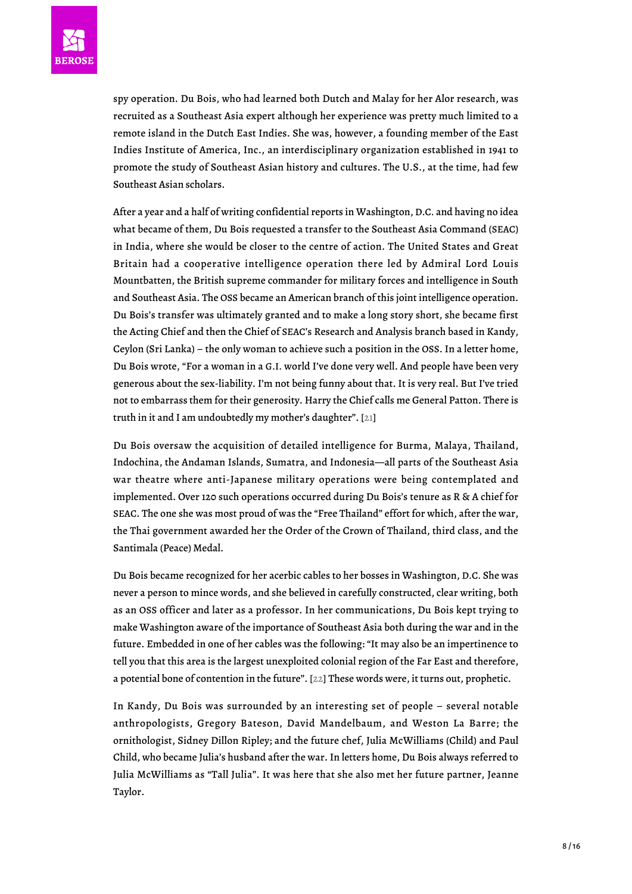spy operation. Du Bois, who had learned both Dutch and Malay for her Alor research, was recruited as a Southeast Asia expert although her experience was pretty much limited to a remote island in the Dutch East Indies. She was, however, a founding member of the East Indies Institute of America, Inc., an interdisciplinary organization established in 1941 to promote the study of Southeast Asian history and cultures. The U.S., at the time, had few Southeast Asian scholars.

After a year and a half of writing confidential reports in Washington, D.C. and having no idea what became of them, Du Bois requested a transfer to the Southeast Asia Command (SEAC) in India, where she would be closer to the centre of action. The United States and Great Britain had a cooperative intelligence operation there led by Admiral Lord Louis Mountbatten, the British supreme commander for military forces and intelligence in South and Southeast Asia. The OSS became an American branch of this joint intelligence operation. Du Bois's transfer was ultimately granted and to make a long story short, she became first the Acting Chief and then the Chief of SEAC's Research and Analysis branch based in Kandy, Ceylon (Sri Lanka) – the only woman to achieve such a position in the OSS. In a letter home, Du Bois wrote, "For a woman in a G.I. world I've done very well. And people have been very generous about the sex-liability. I'm not being funny about that. It is very real. But I've tried not to embarrass them for their generosity. Harry the Chief calls me General Patton. There is truth in it and I am undoubtedly my mother's daughter". [\[21](#page-14-7)]

<span id="page-7-0"></span>Du Bois oversaw the acquisition of detailed intelligence for Burma, Malaya, Thailand, Indochina, the Andaman Islands, Sumatra, and Indonesia—all parts of the Southeast Asia war theatre where anti-Japanese military operations were being contemplated and implemented. Over 120 such operations occurred during Du Bois's tenure as R & A chief for SEAC. The one she was most proud of was the "Free Thailand" effort for which, after the war, the Thai government awarded her the Order of the Crown of Thailand, third class, and the Santimala (Peace) Medal.

Du Bois became recognized for her acerbic cables to her bosses in Washington, D.C. She was never a person to mince words, and she believed in carefully constructed, clear writing, both as an OSS officer and later as a professor. In her communications, Du Bois kept trying to make Washington aware of the importance of Southeast Asia both during the war and in the future. Embedded in one of her cables was the following: "It may also be an impertinence to tell you that this area is the largest unexploited colonial region of the Far East and therefore, a potential bone of contention in the future". [[22](#page-14-8)] These words were, it turns out, prophetic.

<span id="page-7-1"></span>In Kandy, Du Bois was surrounded by an interesting set of people – several notable anthropologists, Gregory Bateson, David Mandelbaum, and Weston La Barre; the ornithologist, Sidney Dillon Ripley; and the future chef, Julia McWilliams (Child) and Paul Child, who became Julia's husband after the war. In letters home, Du Bois always referred to Julia McWilliams as "Tall Julia". It was here that she also met her future partner, Jeanne Taylor.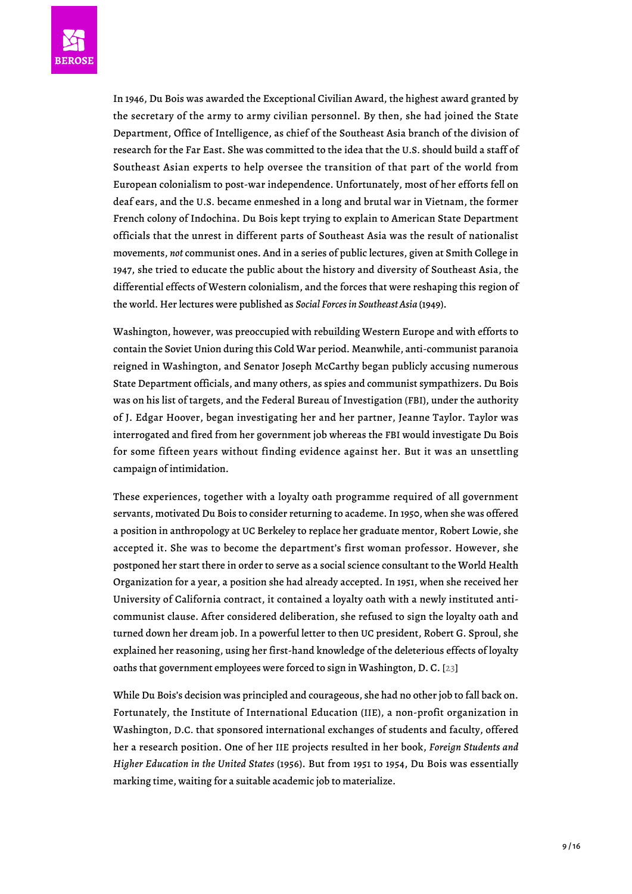

In 1946, Du Bois was awarded the Exceptional Civilian Award, the highest award granted by the secretary of the army to army civilian personnel. By then, she had joined the State Department, Office of Intelligence, as chief of the Southeast Asia branch of the division of research for the Far East. She was committed to the idea that the U.S. should build a staff of Southeast Asian experts to help oversee the transition of that part of the world from European colonialism to post-war independence. Unfortunately, most of her efforts fell on deaf ears, and the U.S. became enmeshed in a long and brutal war in Vietnam, the former French colony of Indochina. Du Bois kept trying to explain to American State Department officials that the unrest in different parts of Southeast Asia was the result of nationalist movements, *not* communist ones. And in a series of public lectures, given at Smith College in 1947, she tried to educate the public about the history and diversity of Southeast Asia, the differential effects of Western colonialism, and the forces that were reshaping this region of the world. Her lectures were published as *Social Forces in Southeast Asia* (1949).

Washington, however, was preoccupied with rebuilding Western Europe and with efforts to contain the Soviet Union during this Cold War period. Meanwhile, anti-communist paranoia reigned in Washington, and Senator Joseph McCarthy began publicly accusing numerous State Department officials, and many others, as spies and communist sympathizers. Du Bois was on his list of targets, and the Federal Bureau of Investigation (FBI), under the authority of J. Edgar Hoover, began investigating her and her partner, Jeanne Taylor. Taylor was interrogated and fired from her government job whereas the FBI would investigate Du Bois for some fifteen years without finding evidence against her. But it was an unsettling campaign of intimidation.

These experiences, together with a loyalty oath programme required of all government servants, motivated Du Bois to consider returning to academe. In 1950, when she was offered a position in anthropology at UC Berkeley to replace her graduate mentor, Robert Lowie, she accepted it. She was to become the department's first woman professor. However, she postponed her start there in order to serve as a social science consultant to the World Health Organization for a year, a position she had already accepted. In 1951, when she received her University of California contract, it contained a loyalty oath with a newly instituted anticommunist clause. After considered deliberation, she refused to sign the loyalty oath and turned down her dream job. In a powerful letter to then UC president, Robert G. Sproul, she explained her reasoning, using her first-hand knowledge of the deleterious effects of loyalty oaths that government employees were forced to sign in Washington, D. C. [[23\]](#page-14-9)

<span id="page-8-0"></span>While Du Bois's decision was principled and courageous, she had no other job to fall back on. Fortunately, the Institute of International Education (IIE), a non-profit organization in Washington, D.C. that sponsored international exchanges of students and faculty, offered her a research position. One of her IIE projects resulted in her book, *Foreign Students and Higher Education in the United States* (1956). But from 1951 to 1954, Du Bois was essentially marking time, waiting for a suitable academic job to materialize.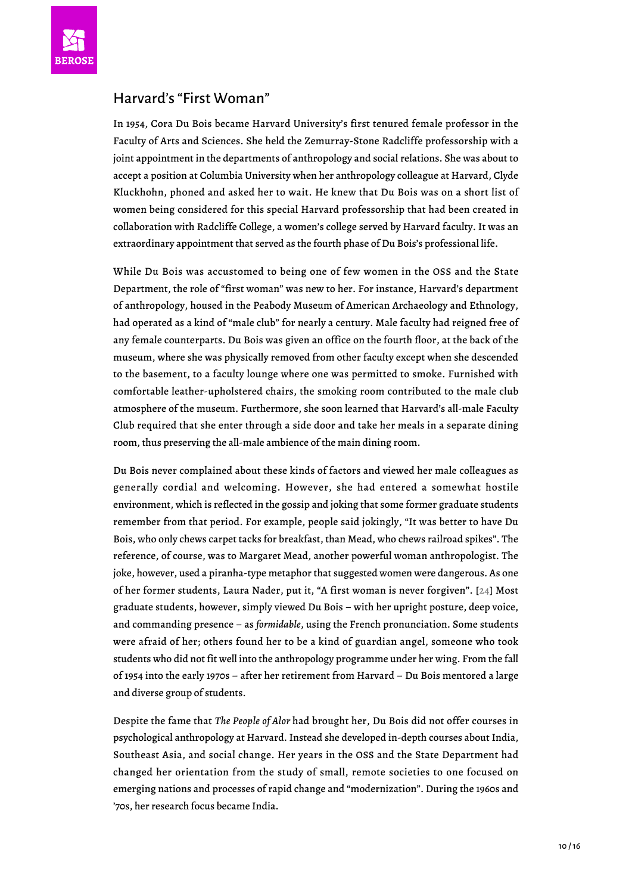

#### Harvard's "First Woman"

In 1954, Cora Du Bois became Harvard University's first tenured female professor in the Faculty of Arts and Sciences. She held the Zemurray-Stone Radcliffe professorship with a joint appointment in the departments of anthropology and social relations. She was about to accept a position at Columbia University when her anthropology colleague at Harvard, Clyde Kluckhohn, phoned and asked her to wait. He knew that Du Bois was on a short list of women being considered for this special Harvard professorship that had been created in collaboration with Radcliffe College, a women's college served by Harvard faculty. It was an extraordinary appointment that served as the fourth phase of Du Bois's professional life.

While Du Bois was accustomed to being one of few women in the OSS and the State Department, the role of "first woman" was new to her. For instance, Harvard's department of anthropology, housed in the Peabody Museum of American Archaeology and Ethnology, had operated as a kind of "male club" for nearly a century. Male faculty had reigned free of any female counterparts. Du Bois was given an office on the fourth floor, at the back of the museum, where she was physically removed from other faculty except when she descended to the basement, to a faculty lounge where one was permitted to smoke. Furnished with comfortable leather-upholstered chairs, the smoking room contributed to the male club atmosphere of the museum. Furthermore, she soon learned that Harvard's all-male Faculty Club required that she enter through a side door and take her meals in a separate dining room, thus preserving the all-male ambience of the main dining room.

<span id="page-9-0"></span>Du Bois never complained about these kinds of factors and viewed her male colleagues as generally cordial and welcoming. However, she had entered a somewhat hostile environment, which is reflected in the gossip and joking that some former graduate students remember from that period. For example, people said jokingly, "It was better to have Du Bois, who only chews carpet tacks for breakfast, than Mead, who chews railroad spikes". The reference, of course, was to Margaret Mead, another powerful woman anthropologist. The joke, however, used a piranha-type metaphor that suggested women were dangerous. As one of her former students, Laura Nader, put it, "A first woman is never forgiven". [[24](#page-15-0)] Most graduate students, however, simply viewed Du Bois – with her upright posture, deep voice, and commanding presence – as *formidable*, using the French pronunciation. Some students were afraid of her; others found her to be a kind of guardian angel, someone who took students who did not fit well into the anthropology programme under her wing. From the fall of 1954 into the early 1970s – after her retirement from Harvard – Du Bois mentored a large and diverse group of students.

Despite the fame that *The People of Alor* had brought her, Du Bois did not offer courses in psychological anthropology at Harvard. Instead she developed in-depth courses about India, Southeast Asia, and social change. Her years in the OSS and the State Department had changed her orientation from the study of small, remote societies to one focused on emerging nations and processes of rapid change and "modernization". During the 1960s and '70s, her research focus became India.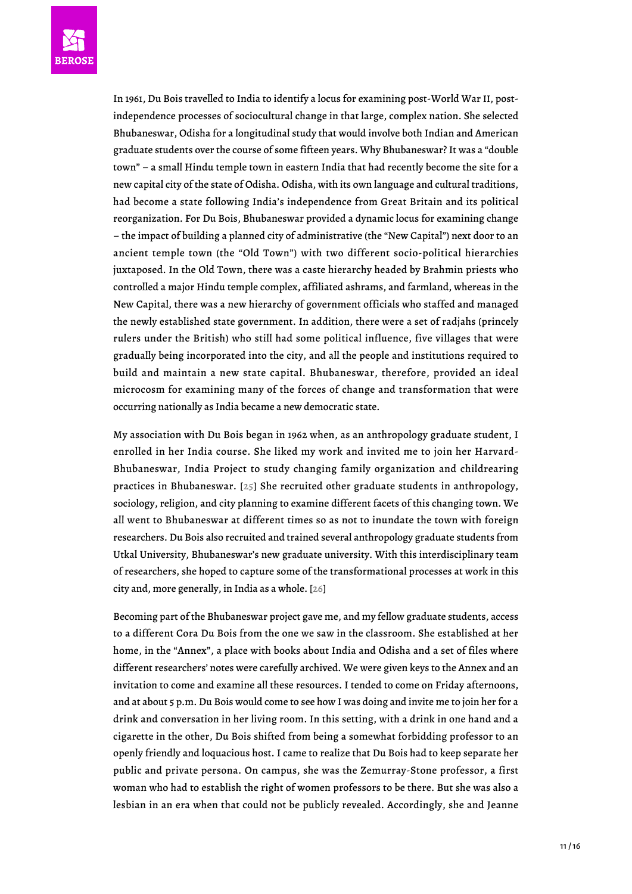In 1961, Du Bois travelled to India to identify a locus for examining post-World War II, postindependence processes of sociocultural change in that large, complex nation. She selected Bhubaneswar, Odisha for a longitudinal study that would involve both Indian and American graduate students over the course of some fifteen years. Why Bhubaneswar? It was a "double town" – a small Hindu temple town in eastern India that had recently become the site for a new capital city of the state of Odisha. Odisha, with its own language and cultural traditions, had become a state following India's independence from Great Britain and its political reorganization. For Du Bois, Bhubaneswar provided a dynamic locus for examining change – the impact of building a planned city of administrative (the "New Capital") next door to an ancient temple town (the "Old Town") with two different socio-political hierarchies juxtaposed. In the Old Town, there was a caste hierarchy headed by Brahmin priests who controlled a major Hindu temple complex, affiliated ashrams, and farmland, whereas in the New Capital, there was a new hierarchy of government officials who staffed and managed the newly established state government. In addition, there were a set of radjahs (princely rulers under the British) who still had some political influence, five villages that were gradually being incorporated into the city, and all the people and institutions required to build and maintain a new state capital. Bhubaneswar, therefore, provided an ideal microcosm for examining many of the forces of change and transformation that were occurring nationally as India became a new democratic state.

<span id="page-10-0"></span>My association with Du Bois began in 1962 when, as an anthropology graduate student, I enrolled in her India course. She liked my work and invited me to join her Harvard-Bhubaneswar, India Project to study changing family organization and childrearing practices in Bhubaneswar. [ $25$ ] She recruited other graduate students in anthropology, sociology, religion, and city planning to examine different facets of this changing town. We all went to Bhubaneswar at different times so as not to inundate the town with foreign researchers. Du Bois also recruited and trained several anthropology graduate students from Utkal University, Bhubaneswar's new graduate university. With this interdisciplinary team of researchers, she hoped to capture some of the transformational processes at work in this city and, more generally, in India as a whole. [[26](#page-15-2)]

<span id="page-10-1"></span>Becoming part of the Bhubaneswar project gave me, and my fellow graduate students, access to a different Cora Du Bois from the one we saw in the classroom. She established at her home, in the "Annex", a place with books about India and Odisha and a set of files where different researchers' notes were carefully archived. We were given keys to the Annex and an invitation to come and examine all these resources. I tended to come on Friday afternoons, and at about 5 p.m. Du Bois would come to see how I was doing and invite me to join her for a drink and conversation in her living room. In this setting, with a drink in one hand and a cigarette in the other, Du Bois shifted from being a somewhat forbidding professor to an openly friendly and loquacious host. I came to realize that Du Bois had to keep separate her public and private persona. On campus, she was the Zemurray-Stone professor, a first woman who had to establish the right of women professors to be there. But she was also a lesbian in an era when that could not be publicly revealed. Accordingly, she and Jeanne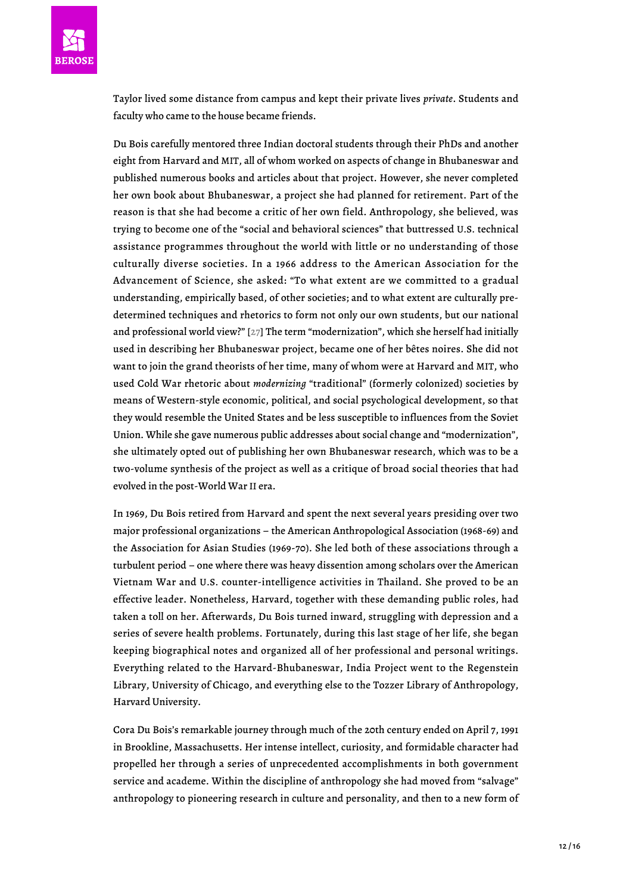Taylor lived some distance from campus and kept their private lives *private*. Students and faculty who came to the house became friends.

Du Bois carefully mentored three Indian doctoral students through their PhDs and another eight from Harvard and MIT, all of whom worked on aspects of change in Bhubaneswar and published numerous books and articles about that project. However, she never completed her own book about Bhubaneswar, a project she had planned for retirement. Part of the reason is that she had become a critic of her own field. Anthropology, she believed, was trying to become one of the "social and behavioral sciences" that buttressed U.S. technical assistance programmes throughout the world with little or no understanding of those culturally diverse societies. In a 1966 address to the American Association for the Advancement of Science, she asked: "To what extent are we committed to a gradual understanding, empirically based, of other societies; and to what extent are culturally predetermined techniques and rhetorics to form not only our own students, but our national and professional world view?" [\[27](#page-15-3)] The term "modernization", which she herself had initially used in describing her Bhubaneswar project, became one of her bêtes noires. She did not want to join the grand theorists of her time, many of whom were at Harvard and MIT, who used Cold War rhetoric about *modernizing* "traditional" (formerly colonized) societies by means of Western-style economic, political, and social psychological development, so that they would resemble the United States and be less susceptible to influences from the Soviet Union. While she gave numerous public addresses about social change and "modernization", she ultimately opted out of publishing her own Bhubaneswar research, which was to be a two-volume synthesis of the project as well as a critique of broad social theories that had evolved in the post-World War II era.

<span id="page-11-0"></span>In 1969, Du Bois retired from Harvard and spent the next several years presiding over two major professional organizations – the American Anthropological Association (1968-69) and the Association for Asian Studies (1969-70). She led both of these associations through a turbulent period – one where there was heavy dissention among scholars over the American Vietnam War and U.S. counter-intelligence activities in Thailand. She proved to be an effective leader. Nonetheless, Harvard, together with these demanding public roles, had taken a toll on her. Afterwards, Du Bois turned inward, struggling with depression and a series of severe health problems. Fortunately, during this last stage of her life, she began keeping biographical notes and organized all of her professional and personal writings. Everything related to the Harvard-Bhubaneswar, India Project went to the Regenstein Library, University of Chicago, and everything else to the Tozzer Library of Anthropology, Harvard University.

Cora Du Bois's remarkable journey through much of the 20th century ended on April 7, 1991 in Brookline, Massachusetts. Her intense intellect, curiosity, and formidable character had propelled her through a series of unprecedented accomplishments in both government service and academe. Within the discipline of anthropology she had moved from "salvage" anthropology to pioneering research in culture and personality, and then to a new form of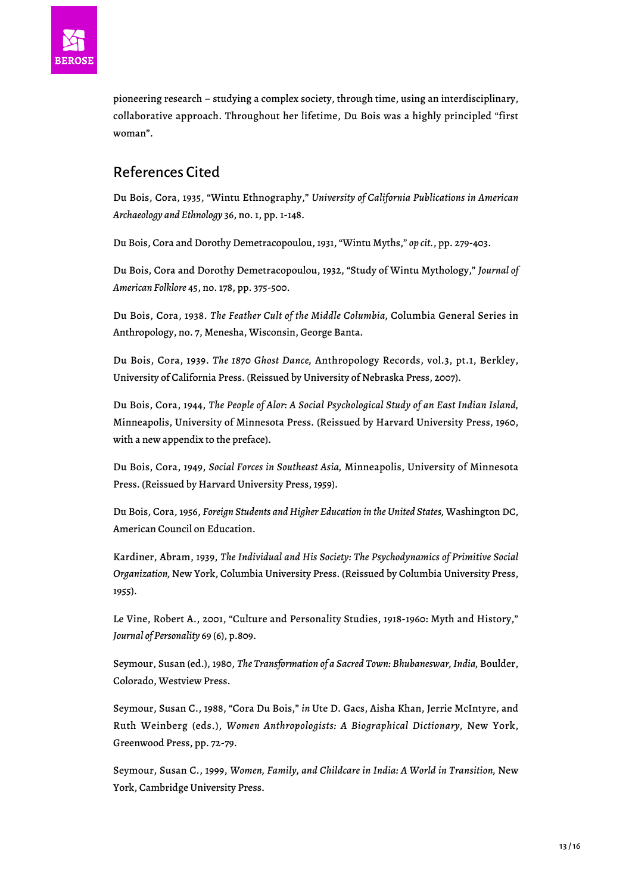

pioneering research – studying a complex society, through time, using an interdisciplinary, collaborative approach. Throughout her lifetime, Du Bois was a highly principled "first woman".

### References Cited

Du Bois, Cora, 1935, "Wintu Ethnography," *University of California Publications in American Archaeology and Ethnology* 36, no. 1, pp. 1-148.

Du Bois, Cora and Dorothy Demetracopoulou, 1931, "Wintu Myths," *op cit.*, pp. 279-403.

Du Bois, Cora and Dorothy Demetracopoulou, 1932, "Study of Wintu Mythology," *Journal of American Folklore* 45, no. 178, pp. 375-500.

Du Bois, Cora, 1938. *The Feather Cult of the Middle Columbia,* Columbia General Series in Anthropology, no. 7, Menesha, Wisconsin, George Banta.

Du Bois, Cora, 1939. *The 1870 Ghost Dance,* Anthropology Records, vol.3, pt.1, Berkley, University of California Press. (Reissued by University of Nebraska Press, 2007).

Du Bois, Cora, 1944, *The People of Alor: A Social Psychological Study of an East Indian Island,* Minneapolis, University of Minnesota Press. (Reissued by Harvard University Press, 1960, with a new appendix to the preface).

Du Bois, Cora, 1949, *Social Forces in Southeast Asia,* Minneapolis, University of Minnesota Press. (Reissued by Harvard University Press, 1959).

Du Bois, Cora, 1956, *Foreign Students and Higher Education in the United States,* Washington DC, American Council on Education.

Kardiner, Abram, 1939, *The Individual and His Society: The Psychodynamics of Primitive Social Organization,* New York, Columbia University Press. (Reissued by Columbia University Press, 1955).

Le Vine, Robert A., 2001, "Culture and Personality Studies, 1918-1960: Myth and History," *Journal of Personality* 69 (6), p.809.

Seymour, Susan (ed.), 1980, *The Transformation of a Sacred Town: Bhubaneswar, India,* Boulder, Colorado, Westview Press.

Seymour, Susan C., 1988, "Cora Du Bois," *in* Ute D. Gacs, Aisha Khan, Jerrie McIntyre, and Ruth Weinberg (eds.), *Women Anthropologists: A Biographical Dictionary,* New York, Greenwood Press, pp. 72-79.

Seymour, Susan C., 1999, *Women, Family, and Childcare in India: A World in Transition,* New York, Cambridge University Press.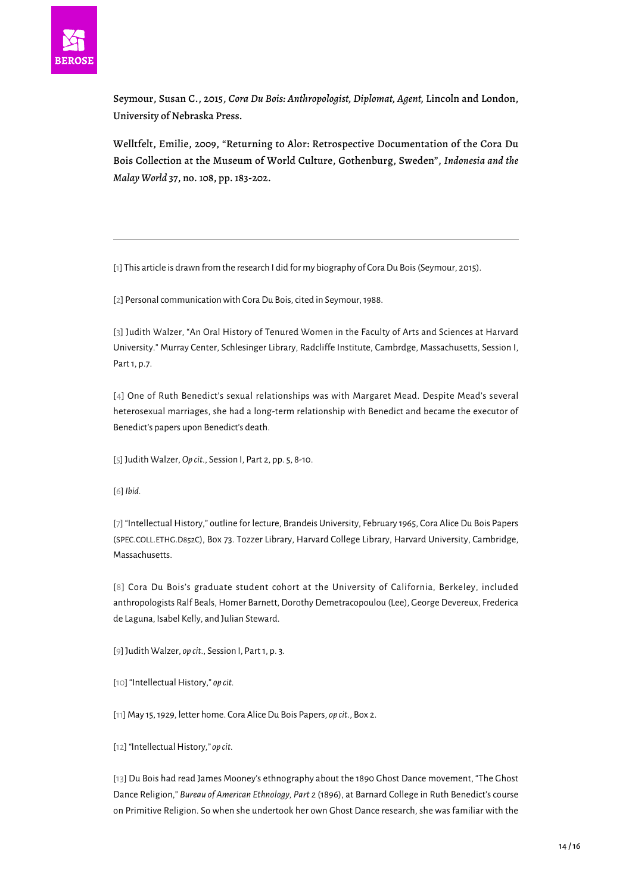

Seymour, Susan C., 2015, *Cora Du Bois: Anthropologist, Diplomat, Agent,* Lincoln and London, University of Nebraska Press.

Welltfelt, Emilie, 2009, "Returning to Alor: Retrospective Documentation of the Cora Du Bois Collection at the Museum of World Culture, Gothenburg, Sweden", *Indonesia and the Malay World* 37, no. 108, pp. 183-202.

<span id="page-13-0"></span>[\[1\]](#page-0-0) This article is drawn from the research I did for my biography of Cora Du Bois (Seymour, 2015).

<span id="page-13-2"></span><span id="page-13-1"></span>[\[2\]](#page-1-0) Personal communication with Cora Du Bois, cited in Seymour, 1988.

[[3\]](#page-1-1) Judith Walzer, "An Oral History of Tenured Women in the Faculty of Arts and Sciences at Harvard University." Murray Center, Schlesinger Library, Radcliffe Institute, Cambrdge, Massachusetts, Session I, Part 1, p.7.

<span id="page-13-3"></span>[[4\]](#page-2-0) One of Ruth Benedict's sexual relationships was with Margaret Mead. Despite Mead's several heterosexual marriages, she had a long-term relationship with Benedict and became the executor of Benedict's papers upon Benedict's death.

<span id="page-13-4"></span>[\[5](#page-2-1)] Judith Walzer, *Op cit.*, Session I, Part 2, pp. 5, 8-10.

<span id="page-13-5"></span>[\[6\]](#page-2-2) *Ibid.*

<span id="page-13-6"></span>[\[7](#page-2-3)] "Intellectual History," outline for lecture, Brandeis University, February 1965, Cora Alice Du Bois Papers (SPEC.COLL.ETHG.D852C), Box 73. Tozzer Library, Harvard College Library, Harvard University, Cambridge, Massachusetts.

<span id="page-13-7"></span>[[8\]](#page-2-4) Cora Du Bois's graduate student cohort at the University of California, Berkeley, included anthropologists Ralf Beals, Homer Barnett, Dorothy Demetracopoulou (Lee), George Devereux, Frederica de Laguna, Isabel Kelly, and Julian Steward.

<span id="page-13-8"></span>[\[9\]](#page-2-5) Judith Walzer, *op cit.,* Session I, Part 1, p. 3.

<span id="page-13-10"></span><span id="page-13-9"></span>[\[10\]](#page-3-0) "Intellectual History," *op cit.*

[\[11\]](#page-3-1) May 15, 1929, letter home. Cora Alice Du Bois Papers, *op cit*., Box 2.

<span id="page-13-11"></span>[\[12\]](#page-3-2) *"*Intellectual History*," op cit.*

<span id="page-13-12"></span>[[13\]](#page-3-3) Du Bois had read James Mooney's ethnography about the 1890 Ghost Dance movement, "The Ghost Dance Religion," *Bureau of American Ethnology, Part 2* (1896), at Barnard College in Ruth Benedict's course on Primitive Religion. So when she undertook her own Ghost Dance research, she was familiar with the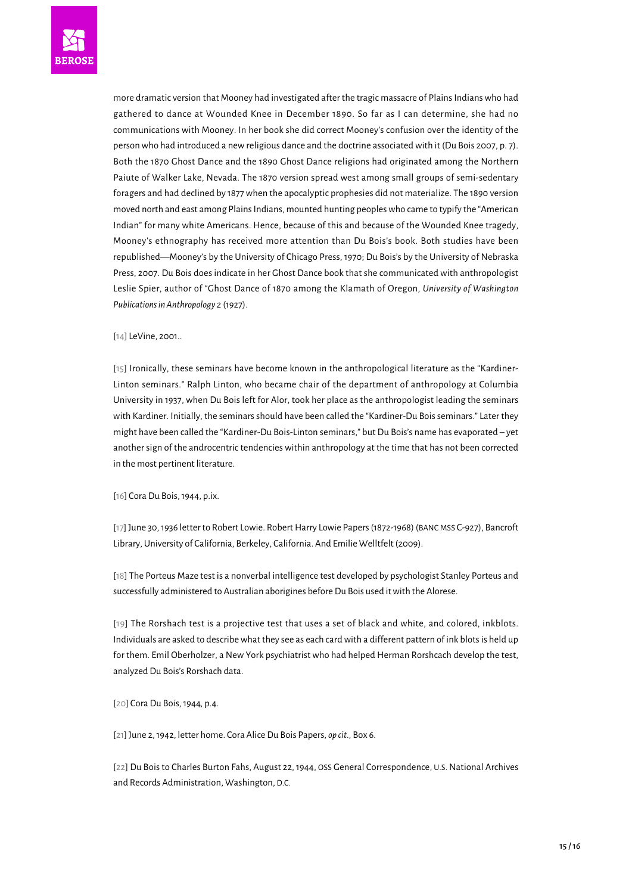more dramatic version that Mooney had investigated after the tragic massacre of Plains Indians who had gathered to dance at Wounded Knee in December 1890. So far as I can determine, she had no communications with Mooney. In her book she did correct Mooney's confusion over the identity of the person who had introduced a new religious dance and the doctrine associated with it (Du Bois 2007, p. 7). Both the 1870 Ghost Dance and the 1890 Ghost Dance religions had originated among the Northern Paiute of Walker Lake, Nevada. The 1870 version spread west among small groups of semi-sedentary foragers and had declined by 1877 when the apocalyptic prophesies did not materialize. The 1890 version moved north and east among Plains Indians, mounted hunting peoples who came to typify the "American Indian" for many white Americans. Hence, because of this and because of the Wounded Knee tragedy, Mooney's ethnography has received more attention than Du Bois's book. Both studies have been republished—Mooney's by the University of Chicago Press, 1970; Du Bois's by the University of Nebraska Press, 2007. Du Bois does indicate in her Ghost Dance book that she communicated with anthropologist Leslie Spier, author of "Ghost Dance of 1870 among the Klamath of Oregon, *University of Washington Publications in Anthropology 2* (1927).

#### <span id="page-14-0"></span>[\[14](#page-4-0)] LeVine, 2001..

<span id="page-14-1"></span>[[15](#page-4-1)] Ironically, these seminars have become known in the anthropological literature as the "Kardiner-Linton seminars." Ralph Linton, who became chair of the department of anthropology at Columbia University in 1937, when Du Bois left for Alor, took her place as the anthropologist leading the seminars with Kardiner. Initially, the seminars should have been called the "Kardiner-Du Bois seminars." Later they might have been called the "Kardiner-Du Bois-Linton seminars," but Du Bois's name has evaporated – yet another sign of the androcentric tendencies within anthropology at the time that has not been corrected in the most pertinent literature.

<span id="page-14-2"></span>[\[16](#page-5-0)] Cora Du Bois, 1944, p.ix.

<span id="page-14-3"></span>[\[17\]](#page-5-1) June 30, 1936 letter to Robert Lowie. Robert Harry Lowie Papers (1872-1968) (BANC MSS C-927), Bancroft Library, University of California, Berkeley, California. And Emilie Welltfelt (2009).

<span id="page-14-4"></span>[\[18](#page-5-2)] The Porteus Maze test is a nonverbal intelligence test developed by psychologist Stanley Porteus and successfully administered to Australian aborigines before Du Bois used it with the Alorese.

<span id="page-14-5"></span>[[19\]](#page-5-3) The Rorshach test is a projective test that uses a set of black and white, and colored, inkblots. Individuals are asked to describe what they see as each card with a different pattern of ink blots is held up for them. Emil Oberholzer, a New York psychiatrist who had helped Herman Rorshcach develop the test, analyzed Du Bois's Rorshach data.

<span id="page-14-6"></span>[\[20\]](#page-6-0) Cora Du Bois, 1944*,* p.4.

<span id="page-14-7"></span>[\[21\]](#page-7-0) June 2, 1942, letter home. Cora Alice Du Bois Papers, *op cit.,* Box 6.

<span id="page-14-9"></span><span id="page-14-8"></span>[\[22](#page-7-1)] Du Bois to Charles Burton Fahs, August 22, 1944, OSS General Correspondence, U.S. National Archives and Records Administration, Washington, D.C.